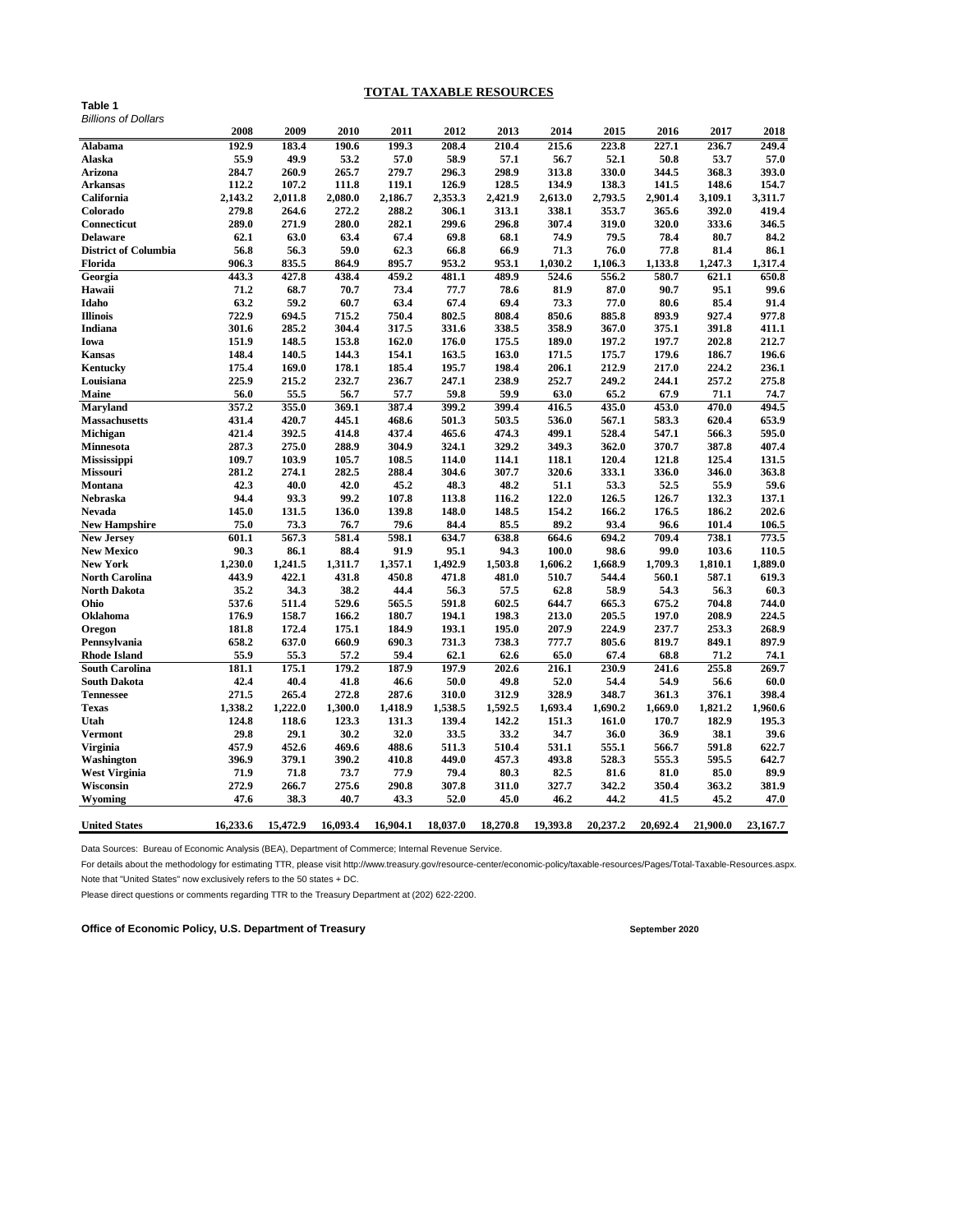## **TOTAL TAXABLE RESOURCES**

| Billions of Dollars   |          |          |          |          |          |          |          |          |          |          |          |
|-----------------------|----------|----------|----------|----------|----------|----------|----------|----------|----------|----------|----------|
|                       | 2008     | 2009     | 2010     | 2011     | 2012     | 2013     | 2014     | 2015     | 2016     | 2017     | 2018     |
| Alabama               | 192.9    | 183.4    | 190.6    | 199.3    | 208.4    | 210.4    | 215.6    | 223.8    | 227.1    | 236.7    | 249.4    |
| Alaska                | 55.9     | 49.9     | 53.2     | 57.0     | 58.9     | 57.1     | 56.7     | 52.1     | 50.8     | 53.7     | 57.0     |
| Arizona               | 284.7    | 260.9    | 265.7    | 279.7    | 296.3    | 298.9    | 313.8    | 330.0    | 344.5    | 368.3    | 393.0    |
| Arkansas              | 112.2    | 107.2    | 111.8    | 119.1    | 126.9    | 128.5    | 134.9    | 138.3    | 141.5    | 148.6    | 154.7    |
| California            | 2,143.2  | 2,011.8  | 2,080.0  | 2,186.7  | 2,353.3  | 2,421.9  | 2,613.0  | 2,793.5  | 2,901.4  | 3,109.1  | 3,311.7  |
| Colorado              | 279.8    | 264.6    | 272.2    | 288.2    | 306.1    | 313.1    | 338.1    | 353.7    | 365.6    | 392.0    | 419.4    |
| Connecticut           | 289.0    | 271.9    | 280.0    | 282.1    | 299.6    | 296.8    | 307.4    | 319.0    | 320.0    | 333.6    | 346.5    |
| Delaware              | 62.1     | 63.0     | 63.4     | 67.4     | 69.8     | 68.1     | 74.9     | 79.5     | 78.4     | 80.7     | 84.2     |
| District of Columbia  | 56.8     | 56.3     | 59.0     | 62.3     | 66.8     | 66.9     | 71.3     | 76.0     | 77.8     | 81.4     | 86.1     |
| Florida               | 906.3    | 835.5    | 864.9    | 895.7    | 953.2    | 953.1    | 1,030.2  | 1,106.3  | 1,133.8  | 1,247.3  | 1,317.4  |
| Georgia               | 443.3    | 427.8    | 438.4    | 459.2    | 481.1    | 489.9    | 524.6    | 556.2    | 580.7    | 621.1    | 650.8    |
| Hawaii                | 71.2     | 68.7     | 70.7     | 73.4     | 77.7     | 78.6     | 81.9     | 87.0     | 90.7     | 95.1     | 99.6     |
| Idaho                 | 63.2     | 59.2     | 60.7     | 63.4     | 67.4     | 69.4     | 73.3     | 77.0     | 80.6     | 85.4     | 91.4     |
| <b>Illinois</b>       | 722.9    | 694.5    | 715.2    | 750.4    | 802.5    | 808.4    | 850.6    | 885.8    | 893.9    | 927.4    | 977.8    |
| Indiana               | 301.6    | 285.2    | 304.4    | 317.5    | 331.6    | 338.5    | 358.9    | 367.0    | 375.1    | 391.8    | 411.1    |
| Iowa                  | 151.9    | 148.5    | 153.8    | 162.0    | 176.0    | 175.5    | 189.0    | 197.2    | 197.7    | 202.8    | 212.7    |
| Kansas                | 148.4    | 140.5    | 144.3    | 154.1    | 163.5    | 163.0    | 171.5    | 175.7    | 179.6    | 186.7    | 196.6    |
| Kentucky              | 175.4    | 169.0    | 178.1    | 185.4    | 195.7    | 198.4    | 206.1    | 212.9    | 217.0    | 224.2    | 236.1    |
| Louisiana             | 225.9    | 215.2    | 232.7    | 236.7    | 247.1    | 238.9    | 252.7    | 249.2    | 244.1    | 257.2    | 275.8    |
| Maine                 | 56.0     | 55.5     | 56.7     | 57.7     | 59.8     | 59.9     | 63.0     | 65.2     | 67.9     | 71.1     | 74.7     |
| <b>Maryland</b>       | 357.2    | 355.0    | 369.1    | 387.4    | 399.2    | 399.4    | 416.5    | 435.0    | 453.0    | 470.0    | 494.5    |
| Massachusetts         | 431.4    | 420.7    | 445.1    | 468.6    | 501.3    | 503.5    | 536.0    | 567.1    | 583.3    | 620.4    | 653.9    |
| Michigan              | 421.4    | 392.5    | 414.8    | 437.4    | 465.6    | 474.3    | 499.1    | 528.4    | 547.1    | 566.3    | 595.0    |
| Minnesota             | 287.3    | 275.0    | 288.9    | 304.9    | 324.1    | 329.2    | 349.3    | 362.0    | 370.7    | 387.8    | 407.4    |
| Mississippi           | 109.7    | 103.9    | 105.7    | 108.5    | 114.0    | 114.1    | 118.1    | 120.4    | 121.8    | 125.4    | 131.5    |
| Missouri              | 281.2    | 274.1    | 282.5    | 288.4    | 304.6    | 307.7    | 320.6    | 333.1    | 336.0    | 346.0    | 363.8    |
| Montana               | 42.3     | 40.0     | 42.0     | 45.2     | 48.3     | 48.2     | 51.1     | 53.3     | 52.5     | 55.9     | 59.6     |
| Nebraska              | 94.4     | 93.3     | 99.2     | 107.8    | 113.8    | 116.2    | 122.0    | 126.5    | 126.7    | 132.3    | 137.1    |
| Nevada                | 145.0    | 131.5    | 136.0    | 139.8    | 148.0    | 148.5    | 154.2    | 166.2    | 176.5    | 186.2    | 202.6    |
| <b>New Hampshire</b>  | 75.0     | 73.3     | 76.7     | 79.6     | 84.4     | 85.5     | 89.2     | 93.4     | 96.6     | 101.4    | 106.5    |
| <b>New Jersey</b>     | 601.1    | 567.3    | 581.4    | 598.1    | 634.7    | 638.8    | 664.6    | 694.2    | 709.4    | 738.1    | 773.5    |
| <b>New Mexico</b>     | 90.3     | 86.1     | 88.4     | 91.9     | 95.1     | 94.3     | 100.0    | 98.6     | 99.0     | 103.6    | 110.5    |
| <b>New York</b>       | 1,230.0  | 1,241.5  | 1,311.7  | 1,357.1  | 1,492.9  | 1,503.8  | 1,606.2  | 1,668.9  | 1,709.3  | 1,810.1  | 1,889.0  |
| North Carolina        | 443.9    | 422.1    | 431.8    | 450.8    | 471.8    | 481.0    | 510.7    | 544.4    | 560.1    | 587.1    | 619.3    |
| <b>North Dakota</b>   | 35.2     | 34.3     | 38.2     | 44.4     | 56.3     | 57.5     | 62.8     | 58.9     | 54.3     | 56.3     | 60.3     |
| Ohio                  | 537.6    | 511.4    | 529.6    | 565.5    | 591.8    | 602.5    | 644.7    | 665.3    | 675.2    | 704.8    | 744.0    |
| Oklahoma              | 176.9    | 158.7    | 166.2    | 180.7    | 194.1    | 198.3    | 213.0    | 205.5    | 197.0    | 208.9    | 224.5    |
| Oregon                | 181.8    | 172.4    | 175.1    | 184.9    | 193.1    | 195.0    | 207.9    | 224.9    | 237.7    | 253.3    | 268.9    |
| Pennsylvania          | 658.2    | 637.0    | 660.9    | 690.3    | 731.3    | 738.3    | 777.7    | 805.6    | 819.7    | 849.1    | 897.9    |
| <b>Rhode Island</b>   | 55.9     | 55.3     | 57.2     | 59.4     | 62.1     | 62.6     | 65.0     | 67.4     | 68.8     | 71.2     | 74.1     |
| <b>South Carolina</b> | 181.1    | 175.1    | 179.2    | 187.9    | 197.9    | 202.6    | 216.1    | 230.9    | 241.6    | 255.8    | 269.7    |
| South Dakota          | 42.4     | 40.4     | 41.8     | 46.6     | 50.0     | 49.8     | 52.0     | 54.4     | 54.9     | 56.6     | 60.0     |
| <b>Tennessee</b>      | 271.5    | 265.4    | 272.8    | 287.6    | 310.0    | 312.9    | 328.9    | 348.7    | 361.3    | 376.1    | 398.4    |
| <b>Texas</b>          | 1,338.2  | 1,222.0  | 1,300.0  | 1,418.9  | 1,538.5  | 1,592.5  | 1,693.4  | 1,690.2  | 1,669.0  | 1,821.2  | 1,960.6  |
| Utah                  | 124.8    | 118.6    | 123.3    | 131.3    | 139.4    | 142.2    | 151.3    | 161.0    | 170.7    | 182.9    | 195.3    |
| Vermont               | 29.8     | 29.1     | 30.2     | 32.0     | 33.5     | 33.2     | 34.7     | 36.0     | 36.9     | 38.1     | 39.6     |
| Virginia              | 457.9    | 452.6    | 469.6    | 488.6    | 511.3    | 510.4    | 531.1    | 555.1    | 566.7    | 591.8    | 622.7    |
| Washington            | 396.9    | 379.1    | 390.2    | 410.8    | 449.0    | 457.3    | 493.8    | 528.3    | 555.3    | 595.5    | 642.7    |
| West Virginia         | 71.9     | 71.8     | 73.7     | 77.9     | 79.4     | 80.3     | 82.5     | 81.6     | 81.0     | 85.0     | 89.9     |
| Wisconsin             | 272.9    | 266.7    | 275.6    | 290.8    | 307.8    | 311.0    | 327.7    | 342.2    | 350.4    | 363.2    | 381.9    |
| Wyoming               | 47.6     | 38.3     | 40.7     | 43.3     | 52.0     | 45.0     | 46.2     | 44.2     | 41.5     | 45.2     | 47.0     |
|                       |          |          |          |          |          |          |          |          |          |          |          |
| <b>United States</b>  | 16,233.6 | 15,472.9 | 16.093.4 | 16,904.1 | 18,037.0 | 18,270.8 | 19,393.8 | 20,237.2 | 20,692.4 | 21.900.0 | 23,167.7 |

Data Sources: Bureau of Economic Analysis (BEA), Department of Commerce; Internal Revenue Service.

For details about the methodology for estimating TTR, please visit http://www.treasury.gov/resource-center/economic-policy/taxable-resources/Pages/Total-Taxable-Resources.aspx. Note that "United States" now exclusively refers to the 50 states + DC.

Please direct questions or comments regarding TTR to the Treasury Department at (202) 622-2200.

**Office of Economic Policy, U.S. Department of Treasury September 2020** September 2020

**Table 1**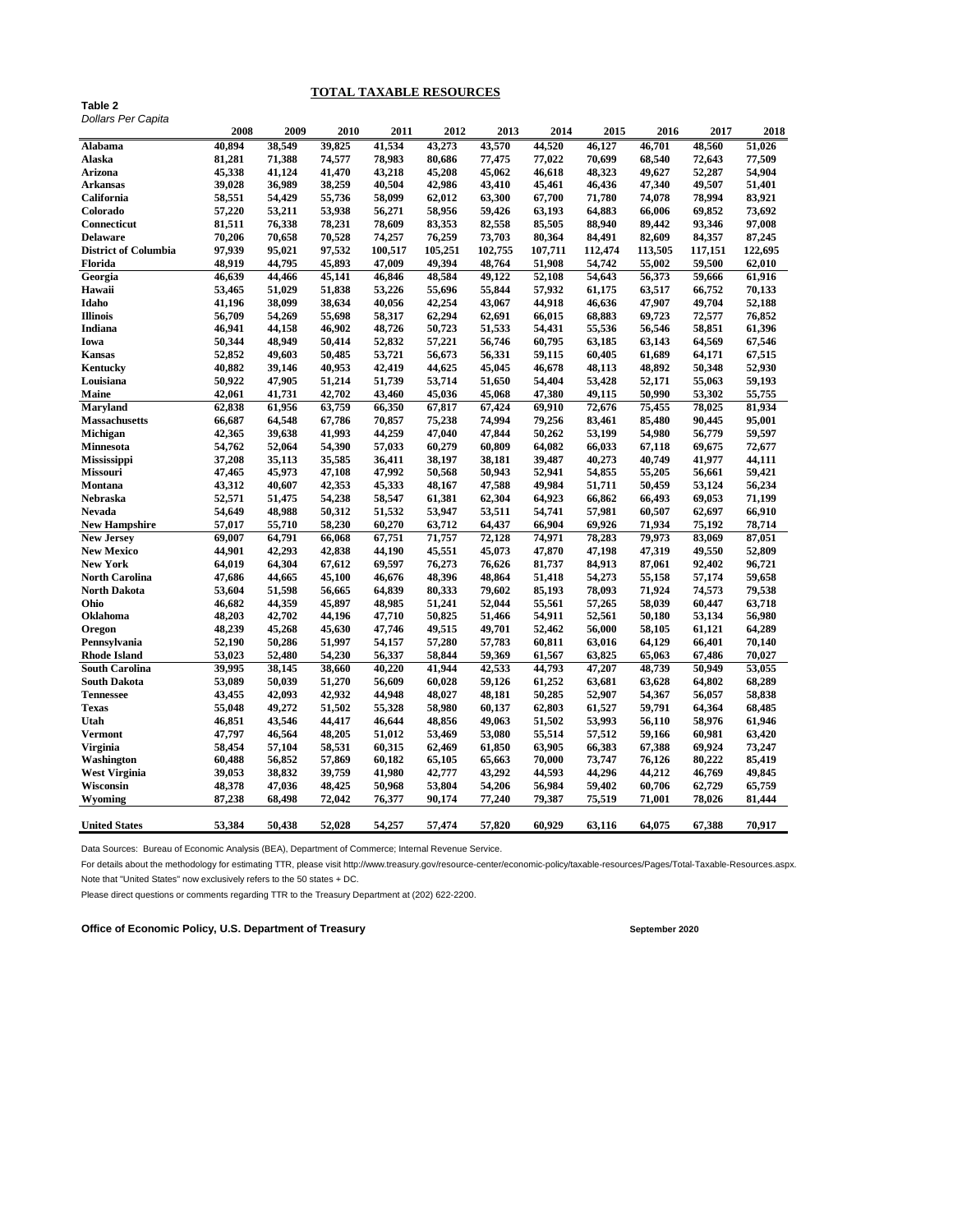## **TOTAL TAXABLE RESOURCES**

| Table 2            |  |
|--------------------|--|
| Dollars Per Canita |  |

| Dollars Per Capita             |                  |        |        |         |         |         |         |         |         |         |         |
|--------------------------------|------------------|--------|--------|---------|---------|---------|---------|---------|---------|---------|---------|
|                                | 2008             | 2009   | 2010   | 2011    | 2012    | 2013    | 2014    | 2015    | 2016    | 2017    | 2018    |
| Alabama                        | 40.894           | 38,549 | 39,825 | 41,534  | 43,273  | 43,570  | 44.520  | 46.127  | 46.701  | 48.560  | 51.026  |
| Alaska                         | 81,281           | 71,388 | 74,577 | 78,983  | 80,686  | 77,475  | 77,022  | 70,699  | 68,540  | 72,643  | 77,509  |
| Arizona                        | 45,338           | 41,124 | 41,470 | 43,218  | 45,208  | 45,062  | 46,618  | 48,323  | 49.627  | 52,287  | 54,904  |
| Arkansas                       | 39,028           | 36,989 | 38,259 | 40,504  | 42,986  | 43,410  | 45,461  | 46,436  | 47,340  | 49,507  | 51,401  |
| California                     | 58,551           | 54,429 | 55,736 | 58,099  | 62,012  | 63,300  | 67,700  | 71,780  | 74,078  | 78,994  | 83,921  |
| Colorado                       | 57,220           | 53,211 | 53,938 | 56,271  | 58,956  | 59,426  | 63,193  | 64,883  | 66,006  | 69,852  | 73,692  |
| Connecticut                    | 81,511           | 76,338 | 78,231 | 78,609  | 83,353  | 82,558  | 85,505  | 88,940  | 89,442  | 93,346  | 97,008  |
| <b>Delaware</b>                | 70,206           | 70,658 | 70,528 | 74,257  | 76,259  | 73,703  | 80,364  | 84,491  | 82,609  | 84,357  | 87,245  |
| <b>District of Columbia</b>    | 97,939           | 95,021 | 97,532 | 100,517 | 105,251 | 102,755 | 107,711 | 112,474 | 113,505 | 117,151 | 122,695 |
| Florida                        | 48,919           | 44,795 | 45,893 | 47,009  | 49,394  | 48,764  | 51,908  | 54,742  | 55,002  | 59,500  | 62,010  |
| Georgia                        | 46,639           | 44,466 | 45,141 | 46,846  | 48,584  | 49,122  | 52,108  | 54,643  | 56,373  | 59,666  | 61,916  |
| Hawaii                         | 53,465           | 51,029 | 51,838 | 53,226  | 55,696  | 55,844  | 57,932  | 61,175  | 63,517  | 66,752  | 70,133  |
| Idaho                          | 41,196           | 38,099 | 38,634 | 40,056  | 42,254  | 43,067  | 44,918  | 46,636  | 47,907  | 49,704  | 52,188  |
| <b>Illinois</b>                | 56,709           | 54,269 | 55,698 | 58,317  | 62,294  | 62,691  | 66,015  | 68,883  | 69,723  | 72,577  | 76,852  |
| Indiana                        | 46,941           | 44,158 | 46,902 | 48,726  | 50,723  | 51,533  | 54,431  | 55,536  | 56,546  | 58,851  | 61,396  |
| Iowa                           | 50,344           | 48,949 | 50,414 | 52,832  | 57,221  | 56,746  | 60,795  | 63,185  | 63,143  | 64,569  | 67,546  |
| Kansas                         | 52,852           | 49,603 | 50,485 | 53,721  | 56,673  | 56,331  | 59,115  | 60,405  | 61,689  | 64,171  | 67,515  |
| Kentucky                       | 40,882           | 39,146 | 40,953 | 42,419  | 44,625  | 45,045  | 46,678  | 48,113  | 48,892  | 50,348  | 52,930  |
| Louisiana                      | 50,922           | 47,905 | 51,214 | 51,739  | 53,714  | 51,650  | 54,404  | 53,428  | 52,171  | 55,063  | 59,193  |
| Maine                          | 42,061           | 41,731 | 42,702 | 43,460  | 45,036  | 45,068  | 47,380  | 49,115  | 50,990  | 53,302  | 55,755  |
| <b>Maryland</b>                | 62,838           | 61,956 | 63,759 | 66,350  | 67,817  | 67,424  | 69,910  | 72,676  | 75,455  | 78,025  | 81,934  |
| <b>Massachusetts</b>           | 66,687           | 64,548 | 67,786 | 70,857  | 75,238  | 74,994  | 79,256  | 83,461  | 85,480  | 90,445  | 95,001  |
| Michigan                       | 42,365           | 39,638 | 41,993 | 44,259  | 47,040  | 47,844  | 50,262  | 53,199  | 54,980  | 56,779  | 59,597  |
| <b>Minnesota</b>               | 54,762           | 52,064 | 54,390 | 57,033  | 60,279  | 60,809  | 64,082  | 66,033  | 67,118  | 69,675  | 72,677  |
|                                | 37,208           | 35,113 | 35,585 | 36,411  | 38,197  | 38,181  | 39,487  | 40,273  | 40,749  | 41,977  | 44,111  |
| Mississippi<br><b>Missouri</b> | 47,465           | 45,973 | 47,108 | 47,992  | 50,568  | 50,943  | 52,941  | 54,855  | 55,205  | 56,661  | 59,421  |
| Montana                        | 43,312           | 40,607 | 42,353 | 45,333  | 48,167  | 47,588  | 49,984  | 51,711  | 50,459  | 53,124  | 56,234  |
|                                |                  | 51,475 | 54,238 | 58,547  | 61,381  | 62,304  | 64,923  | 66,862  | 66,493  | 69,053  | 71,199  |
| Nebraska                       | 52,571<br>54,649 |        |        | 51,532  | 53,947  |         | 54,741  | 57,981  | 60,507  | 62,697  | 66,910  |
| Nevada                         |                  | 48,988 | 50,312 |         |         | 53,511  |         |         |         |         |         |
| <b>New Hampshire</b>           | 57,017           | 55,710 | 58,230 | 60,270  | 63,712  | 64,437  | 66,904  | 69,926  | 71,934  | 75,192  | 78,714  |
| <b>New Jersey</b>              | 69,007           | 64,791 | 66,068 | 67,751  | 71,757  | 72,128  | 74,971  | 78,283  | 79,973  | 83,069  | 87,051  |
| <b>New Mexico</b>              | 44,901           | 42,293 | 42,838 | 44,190  | 45,551  | 45,073  | 47,870  | 47,198  | 47,319  | 49,550  | 52,809  |
| <b>New York</b>                | 64,019           | 64,304 | 67,612 | 69,597  | 76,273  | 76,626  | 81,737  | 84,913  | 87,061  | 92,402  | 96,721  |
| <b>North Carolina</b>          | 47,686           | 44,665 | 45,100 | 46,676  | 48,396  | 48,864  | 51,418  | 54,273  | 55,158  | 57,174  | 59,658  |
| North Dakota                   | 53,604           | 51,598 | 56,665 | 64,839  | 80,333  | 79,602  | 85,193  | 78,093  | 71,924  | 74,573  | 79,538  |
| Ohio                           | 46,682           | 44,359 | 45,897 | 48,985  | 51,241  | 52,044  | 55,561  | 57,265  | 58,039  | 60,447  | 63,718  |
| Oklahoma                       | 48,203           | 42,702 | 44,196 | 47,710  | 50,825  | 51,466  | 54,911  | 52,561  | 50,180  | 53,134  | 56,980  |
| Oregon                         | 48,239           | 45,268 | 45,630 | 47,746  | 49,515  | 49,701  | 52,462  | 56,000  | 58,105  | 61,121  | 64,289  |
| Pennsylvania                   | 52,190           | 50,286 | 51,997 | 54,157  | 57,280  | 57,783  | 60,811  | 63,016  | 64,129  | 66,401  | 70,140  |
| Rhode Island                   | 53,023           | 52,480 | 54,230 | 56,337  | 58,844  | 59,369  | 61,567  | 63,825  | 65,063  | 67,486  | 70,027  |
| <b>South Carolina</b>          | 39,995           | 38,145 | 38,660 | 40,220  | 41,944  | 42,533  | 44,793  | 47,207  | 48,739  | 50,949  | 53,055  |
| <b>South Dakota</b>            | 53,089           | 50,039 | 51,270 | 56,609  | 60,028  | 59,126  | 61,252  | 63,681  | 63,628  | 64,802  | 68,289  |
| <b>Tennessee</b>               | 43,455           | 42,093 | 42,932 | 44,948  | 48,027  | 48,181  | 50,285  | 52,907  | 54,367  | 56,057  | 58,838  |
| <b>Texas</b>                   | 55,048           | 49,272 | 51,502 | 55,328  | 58,980  | 60,137  | 62,803  | 61,527  | 59,791  | 64,364  | 68,485  |
| Utah                           | 46,851           | 43,546 | 44,417 | 46,644  | 48,856  | 49,063  | 51,502  | 53,993  | 56,110  | 58,976  | 61,946  |
| Vermont                        | 47,797           | 46,564 | 48,205 | 51,012  | 53,469  | 53,080  | 55,514  | 57,512  | 59,166  | 60,981  | 63,420  |
| Virginia                       | 58,454           | 57,104 | 58,531 | 60,315  | 62,469  | 61,850  | 63,905  | 66,383  | 67,388  | 69,924  | 73,247  |
| Washington                     | 60,488           | 56,852 | 57,869 | 60,182  | 65,105  | 65,663  | 70,000  | 73,747  | 76,126  | 80,222  | 85,419  |
| <b>West Virginia</b>           | 39,053           | 38,832 | 39,759 | 41,980  | 42,777  | 43,292  | 44,593  | 44,296  | 44,212  | 46,769  | 49,845  |
| Wisconsin                      | 48,378           | 47,036 | 48,425 | 50,968  | 53,804  | 54,206  | 56,984  | 59,402  | 60,706  | 62,729  | 65,759  |
| Wyoming                        | 87,238           | 68,498 | 72,042 | 76,377  | 90,174  | 77,240  | 79,387  | 75,519  | 71,001  | 78,026  | 81,444  |
| <b>United States</b>           | 53,384           | 50,438 | 52,028 | 54,257  | 57,474  | 57,820  | 60.929  | 63,116  | 64.075  | 67,388  | 70,917  |
|                                |                  |        |        |         |         |         |         |         |         |         |         |

Data Sources: Bureau of Economic Analysis (BEA), Department of Commerce; Internal Revenue Service.

For details about the methodology for estimating TTR, please visit http://www.treasury.gov/resource-center/economic-policy/taxable-resources/Pages/Total-Taxable-Resources.aspx. Note that "United States" now exclusively refers to the 50 states + DC.

Please direct questions or comments regarding TTR to the Treasury Department at (202) 622-2200.

**Office of Economic Policy, U.S. Department of Treasury September 2020** September 2020